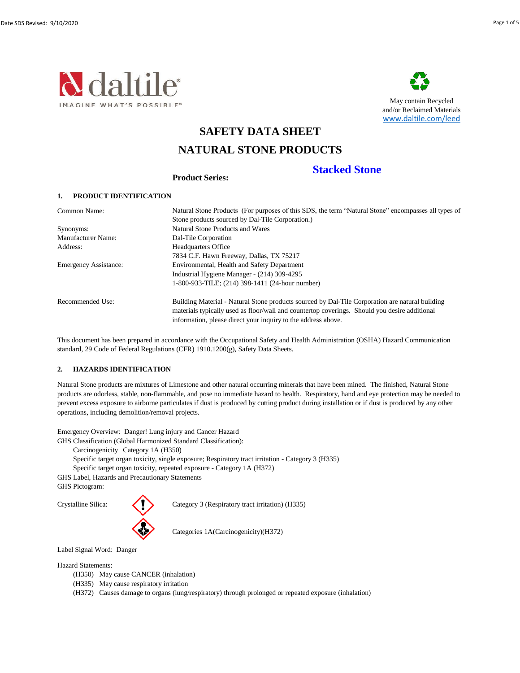



May contain Recycled and/or Reclaimed Materials [www.dalti](http://www.daltile.com/leed)le.com/leed

**Stacked Stone**

# **SAFETY DATA SHEET**

# **NATURAL STONE PRODUCTS**

**Product Series:**

# **1. PRODUCT IDENTIFICATION**

| Common Name:                 | Natural Stone Products (For purposes of this SDS, the term "Natural Stone" encompasses all types of |
|------------------------------|-----------------------------------------------------------------------------------------------------|
|                              | Stone products sourced by Dal-Tile Corporation.)                                                    |
| Synonyms:                    | <b>Natural Stone Products and Wares</b>                                                             |
| <b>Manufacturer Name:</b>    | Dal-Tile Corporation                                                                                |
| Address:                     | <b>Headquarters Office</b>                                                                          |
|                              | 7834 C.F. Hawn Freeway, Dallas, TX 75217                                                            |
| <b>Emergency Assistance:</b> | Environmental, Health and Safety Department                                                         |
|                              | Industrial Hygiene Manager - (214) 309-4295                                                         |
|                              | 1-800-933-TILE; (214) 398-1411 (24-hour number)                                                     |
| Recommended Use:             | Building Material - Natural Stone products sourced by Dal-Tile Corporation are natural building     |
|                              | materials typically used as floor/wall and countertop coverings. Should you desire additional       |
|                              | information, please direct your inquiry to the address above.                                       |

This document has been prepared in accordance with the Occupational Safety and Health Administration (OSHA) Hazard Communication standard, 29 Code of Federal Regulations (CFR) 1910.1200(g), Safety Data Sheets.

# **2. HAZARDS IDENTIFICATION**

Natural Stone products are mixtures of Limestone and other natural occurring minerals that have been mined. The finished, Natural Stone products are odorless, stable, non-flammable, and pose no immediate hazard to health. Respiratory, hand and eye protection may be needed to prevent excess exposure to airborne particulates if dust is produced by cutting product during installation or if dust is produced by any other operations, including demolition/removal projects.

Emergency Overview: Danger! Lung injury and Cancer Hazard

GHS Classification (Global Harmonized Standard Classification):

Carcinogenicity Category 1A (H350)

Specific target organ toxicity, single exposure; Respiratory tract irritation - Category 3 (H335)

Specific target organ toxicity, repeated exposure - Category 1A (H372)

GHS Label, Hazards and Precautionary Statements

GHS Pictogram:



Crystalline Silica: Category 3 (Respiratory tract irritation) (H335)

Categories 1A(Carcinogenicity)(H372)

Label Signal Word: Danger

Hazard Statements:

- (H350) May cause CANCER (inhalation)
- (H335) May cause respiratory irritation
- (H372) Causes damage to organs (lung/respiratory) through prolonged or repeated exposure (inhalation)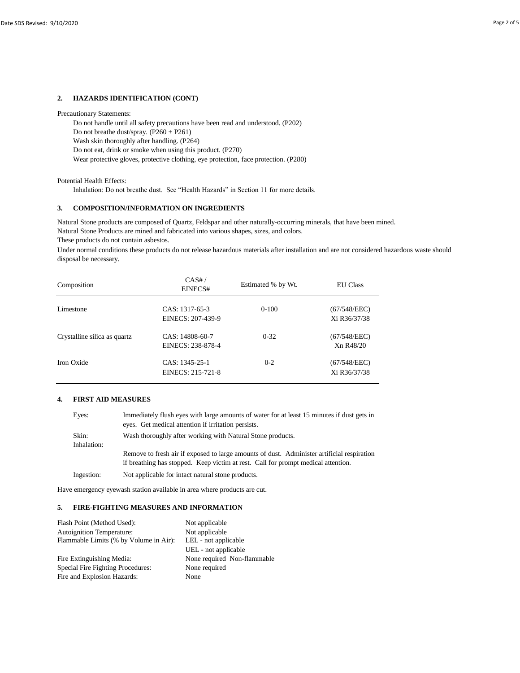### **2. HAZARDS IDENTIFICATION (CONT)**

Precautionary Statements:

Do not handle until all safety precautions have been read and understood. (P202)

Do not breathe dust/spray. (P260 + P261)

Wash skin thoroughly after handling. (P264)

Do not eat, drink or smoke when using this product. (P270)

Wear protective gloves, protective clothing, eye protection, face protection. (P280)

Potential Health Effects:

Inhalation: Do not breathe dust. See "Health Hazards" in Section 11 for more details.

### **3. COMPOSITION/INFORMATION ON INGREDIENTS**

Natural Stone Products are mined and fabricated into various shapes, sizes, and colors. Natural Stone products are composed of Quartz, Feldspar and other naturally-occurring minerals, that have been mined.

These products do not contain asbestos.

Under normal conditions these products do not release hazardous materials after installation and are not considered hazardous waste should disposal be necessary.

| Composition                  | CAS#/<br>EINECS#                      | Estimated % by Wt. | <b>EU Class</b>              |
|------------------------------|---------------------------------------|--------------------|------------------------------|
| Limestone                    | $CAS: 1317-65-3$<br>EINECS: 207-439-9 | $0-100$            | (67/548/EEC)<br>Xi R36/37/38 |
| Crystalline silica as quartz | CAS: 14808-60-7<br>EINECS: 238-878-4  | $0 - 32$           | (67/548/EEC)<br>Xn R48/20    |
| Iron Oxide                   | $CAS: 1345-25-1$<br>EINECS: 215-721-8 | $0 - 2$            | (67/548/EEC)<br>Xi R36/37/38 |

#### **4. FIRST AID MEASURES**

| Eyes:                | Immediately flush eyes with large amounts of water for at least 15 minutes if dust gets in<br>eyes. Get medical attention if irritation persists.                               |
|----------------------|---------------------------------------------------------------------------------------------------------------------------------------------------------------------------------|
| Skin:<br>Inhalation: | Wash thoroughly after working with Natural Stone products.                                                                                                                      |
|                      | Remove to fresh air if exposed to large amounts of dust. Administer artificial respiration<br>if breathing has stopped. Keep victim at rest. Call for prompt medical attention. |
| Ingestion:           | Not applicable for intact natural stone products.                                                                                                                               |

Have emergency eyewash station available in area where products are cut.

# **5. FIRE-FIGHTING MEASURES AND INFORMATION**

| Flash Point (Method Used):             | Not applicable              |  |
|----------------------------------------|-----------------------------|--|
| <b>Autoignition Temperature:</b>       | Not applicable              |  |
| Flammable Limits (% by Volume in Air): | LEL - not applicable        |  |
|                                        | UEL - not applicable        |  |
| Fire Extinguishing Media:              | None required Non-flammable |  |
| Special Fire Fighting Procedures:      | None required               |  |
| Fire and Explosion Hazards:            | None                        |  |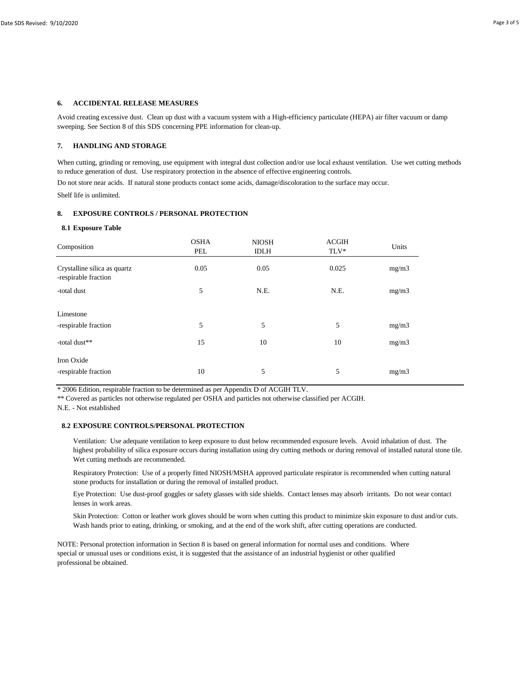#### **6. ACCIDENTAL RELEASE MEASURES**

Avoid creating excessive dust. Clean up dust with a vacuum system with a High-efficiency particulate (HEPA) air filter vacuum or damp sweeping. See Section 8 of this SDS concerning PPE information for clean-up.

### **7. HANDLING AND STORAGE**

When cutting, grinding or removing, use equipment with integral dust collection and/or use local exhaust ventilation. Use wet cutting methods to reduce generation of dust. Use respiratory protection in the absence of effective engineering controls.

Do not store near acids. If natural stone products contact some acids, damage/discoloration to the surface may occur.

Shelf life is unlimited.

# **8. EXPOSURE CONTROLS / PERSONAL PROTECTION**

#### **8.1 Exposure Table**

| Composition                                          | <b>OSHA</b><br>PEL | <b>NIOSH</b><br><b>IDLH</b> | <b>ACGIH</b><br>$\ensuremath{\mathsf{T}}\ensuremath{\mathsf{L}}\ensuremath{\mathsf{V}}^*$ | Units |  |
|------------------------------------------------------|--------------------|-----------------------------|-------------------------------------------------------------------------------------------|-------|--|
| Crystalline silica as quartz<br>-respirable fraction | 0.05               | 0.05                        | 0.025                                                                                     | mg/m3 |  |
| -total dust                                          | 5                  | N.E.                        | N.E.                                                                                      | mg/m3 |  |
| Limestone                                            |                    |                             |                                                                                           |       |  |
| -respirable fraction                                 | 5                  | 5                           | 5                                                                                         | mg/m3 |  |
| -total dust**                                        | 15                 | 10                          | 10                                                                                        | mg/m3 |  |
| Iron Oxide<br>-respirable fraction                   | 10                 | 5                           | 5                                                                                         | mg/m3 |  |
|                                                      |                    |                             |                                                                                           |       |  |

\* 2006 Edition, respirable fraction to be determined as per Appendix D of ACGIH TLV.

\*\* Covered as particles not otherwise regulated per OSHA and particles not otherwise classified per ACGIH.

N.E. - Not established

#### **8.2 EXPOSURE CONTROLS/PERSONAL PROTECTION**

Ventilation: Use adequate ventilation to keep exposure to dust below recommended exposure levels. Avoid inhalation of dust. The highest probability of silica exposure occurs during installation using dry cutting methods or during removal of installed natural stone tile. Wet cutting methods are recommended.

Respiratory Protection: Use of a properly fitted NIOSH/MSHA approved particulate respirator is recommended when cutting natural stone products for installation or during the removal of installed product.

Eye Protection: Use dust-proof goggles or safety glasses with side shields. Contact lenses may absorb irritants. Do not wear contact lenses in work areas.

Skin Protection: Cotton or leather work gloves should be worn when cutting this product to minimize skin exposure to dust and/or cuts. Wash hands prior to eating, drinking, or smoking, and at the end of the work shift, after cutting operations are conducted.

NOTE: Personal protection information in Section 8 is based on general information for normal uses and conditions. Where special or unusual uses or conditions exist, it is suggested that the assistance of an industrial hygienist or other qualified professional be obtained.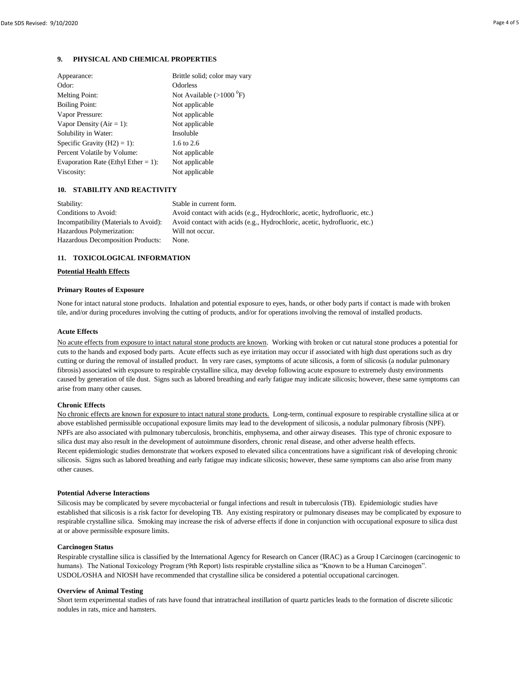# **9. PHYSICAL AND CHEMICAL PROPERTIES**

| Appearance:                            | Brittle solid; color may vary      |
|----------------------------------------|------------------------------------|
| Odor:                                  | <b>Odorless</b>                    |
| <b>Melting Point:</b>                  | Not Available $(>1000 \text{ °F})$ |
| <b>Boiling Point:</b>                  | Not applicable                     |
| Vapor Pressure:                        | Not applicable                     |
| Vapor Density ( $Air = 1$ ):           | Not applicable                     |
| Solubility in Water:                   | Insoluble                          |
| Specific Gravity $(H2) = 1$ :          | 1.6 to 2.6                         |
| Percent Volatile by Volume:            | Not applicable                     |
| Evaporation Rate (Ethyl Ether $= 1$ ): | Not applicable                     |
| Viscosity:                             | Not applicable                     |

# **10. STABILITY AND REACTIVITY**

| Stability:                               | Stable in current form.                                                   |
|------------------------------------------|---------------------------------------------------------------------------|
| Conditions to Avoid:                     | Avoid contact with acids (e.g., Hydrochloric, acetic, hydrofluoric, etc.) |
| Incompatibility (Materials to Avoid):    | Avoid contact with acids (e.g., Hydrochloric, acetic, hydrofluoric, etc.) |
| Hazardous Polymerization:                | Will not occur.                                                           |
| <b>Hazardous Decomposition Products:</b> | None.                                                                     |
|                                          |                                                                           |

# **11. TOXICOLOGICAL INFORMATION**

# **Potential Health Effects**

# **Primary Routes of Exposure**

None for intact natural stone products. Inhalation and potential exposure to eyes, hands, or other body parts if contact is made with broken tile, and/or during procedures involving the cutting of products, and/or for operations involving the removal of installed products.

### **Acute Effects**

No acute effects from exposure to intact natural stone products are known. Working with broken or cut natural stone produces a potential for cuts to the hands and exposed body parts. Acute effects such as eye irritation may occur if associated with high dust operations such as dry cutting or during the removal of installed product. In very rare cases, symptoms of acute silicosis, a form of silicosis (a nodular pulmonary fibrosis) associated with exposure to respirable crystalline silica, may develop following acute exposure to extremely dusty environments caused by generation of tile dust. Signs such as labored breathing and early fatigue may indicate silicosis; however, these same symptoms can arise from many other causes.

# **Chronic Effects**

No chronic effects are known for exposure to intact natural stone products. Long-term, continual exposure to respirable crystalline silica at or above established permissible occupational exposure limits may lead to the development of silicosis, a nodular pulmonary fibrosis (NPF). NPFs are also associated with pulmonary tuberculosis, bronchitis, emphysema, and other airway diseases. This type of chronic exposure to silica dust may also result in the development of autoimmune disorders, chronic renal disease, and other adverse health effects. Recent epidemiologic studies demonstrate that workers exposed to elevated silica concentrations have a significant risk of developing chronic silicosis. Signs such as labored breathing and early fatigue may indicate silicosis; however, these same symptoms can also arise from many other causes.

# **Potential Adverse Interactions**

Silicosis may be complicated by severe mycobacterial or fungal infections and result in tuberculosis (TB). Epidemiologic studies have established that silicosis is a risk factor for developing TB. Any existing respiratory or pulmonary diseases may be complicated by exposure to respirable crystalline silica. Smoking may increase the risk of adverse effects if done in conjunction with occupational exposure to silica dust at or above permissible exposure limits.

# **Carcinogen Status**

Respirable crystalline silica is classified by the International Agency for Research on Cancer (IRAC) as a Group I Carcinogen (carcinogenic to humans). The National Toxicology Program (9th Report) lists respirable crystalline silica as "Known to be a Human Carcinogen". USDOL/OSHA and NIOSH have recommended that crystalline silica be considered a potential occupational carcinogen.

# **Overview of Animal Testing**

Short term experimental studies of rats have found that intratracheal instillation of quartz particles leads to the formation of discrete silicotic nodules in rats, mice and hamsters.